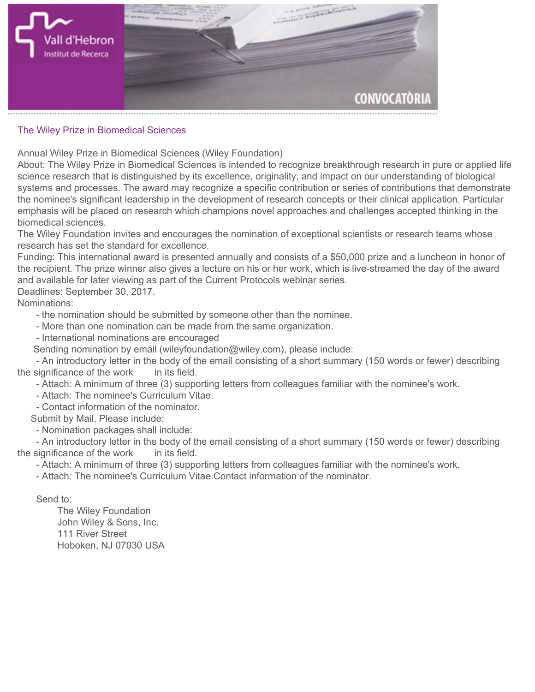

## **The Wiley Prize in Biomedical Sciences**

**Annual Wiley Prize in Biomedical Sciences (Wiley Foundation)**

**About: The Wiley Prize in Biomedical Sciences is intended to recognize breakthrough research in pure or applied life science research that is distinguished by its excellence, originality, and impact on our understanding of biological systems and processes. The award may recognize a specific contribution or series of contributions that demonstrate the nominee's significant leadership in the development of research concepts or their clinical application. Particular emphasis will be placed on research which champions novel approaches and challenges accepted thinking in the biomedical sciences.**

**The Wiley Foundation invites and encourages the nomination of exceptional scientists or research teams whose research has set the standard for excellence.**

**Funding: This international award is presented annually and consists of a \$50,000 prize and a luncheon in honor of the recipient. The prize winner also gives a lecture on his or her work, which is live-streamed the day of the award and available for later viewing as part of the Current Protocols webinar series.**

**Deadlines: September 30, 2017.**

**Nominations:**

- **the nomination should be submitted by someone other than the nominee.**
- **More than one nomination can be made from the same organization.**
- **International nominations are encouraged**

 **Sending nomination by email (wileyfoundation@wiley.com), please include:**

 **- An introductory letter in the body of the email consisting of a short summary (150 words or fewer) describing the significance of the work in its field.**

 **- Attach: A minimum of three (3) supporting letters from colleagues familiar with the nominee's work.**

- **Attach: The nominee's Curriculum Vitae.**
- **Contact information of the nominator.**

 **Submit by Mail, Please include:**

 **- Nomination packages shall include:**

 **- An introductory letter in the body of the email consisting of a short summary (150 words or fewer) describing the significance of the work in its field.**

 **- Attach: A minimum of three (3) supporting letters from colleagues familiar with the nominee's work.**

 **- Attach: The nominee's Curriculum Vitae.Contact information of the nominator.**

 **Send to:**

 **The Wiley Foundation John Wiley & Sons, Inc. 111 River Street Hoboken, NJ 07030 USA**